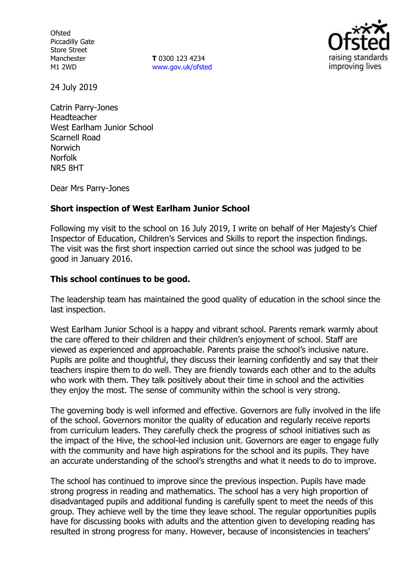**Ofsted** Piccadilly Gate Store Street Manchester M1 2WD

**T** 0300 123 4234 www.gov.uk/ofsted



24 July 2019

Catrin Parry-Jones Headteacher West Earlham Junior School Scarnell Road Norwich Norfolk NR5 8HT

Dear Mrs Parry-Jones

#### **Short inspection of West Earlham Junior School**

Following my visit to the school on 16 July 2019, I write on behalf of Her Majesty's Chief Inspector of Education, Children's Services and Skills to report the inspection findings. The visit was the first short inspection carried out since the school was judged to be good in January 2016.

#### **This school continues to be good.**

The leadership team has maintained the good quality of education in the school since the last inspection.

West Earlham Junior School is a happy and vibrant school. Parents remark warmly about the care offered to their children and their children's enjoyment of school. Staff are viewed as experienced and approachable. Parents praise the school's inclusive nature. Pupils are polite and thoughtful, they discuss their learning confidently and say that their teachers inspire them to do well. They are friendly towards each other and to the adults who work with them. They talk positively about their time in school and the activities they enjoy the most. The sense of community within the school is very strong.

The governing body is well informed and effective. Governors are fully involved in the life of the school. Governors monitor the quality of education and regularly receive reports from curriculum leaders. They carefully check the progress of school initiatives such as the impact of the Hive, the school-led inclusion unit. Governors are eager to engage fully with the community and have high aspirations for the school and its pupils. They have an accurate understanding of the school's strengths and what it needs to do to improve.

The school has continued to improve since the previous inspection. Pupils have made strong progress in reading and mathematics. The school has a very high proportion of disadvantaged pupils and additional funding is carefully spent to meet the needs of this group. They achieve well by the time they leave school. The regular opportunities pupils have for discussing books with adults and the attention given to developing reading has resulted in strong progress for many. However, because of inconsistencies in teachers'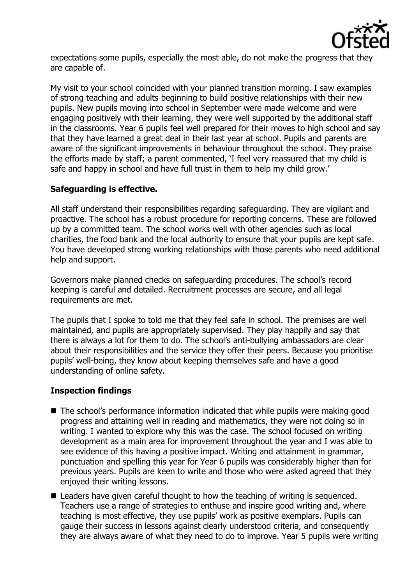

expectations some pupils, especially the most able, do not make the progress that they are capable of.

My visit to your school coincided with your planned transition morning. I saw examples of strong teaching and adults beginning to build positive relationships with their new pupils. New pupils moving into school in September were made welcome and were engaging positively with their learning, they were well supported by the additional staff in the classrooms. Year 6 pupils feel well prepared for their moves to high school and say that they have learned a great deal in their last year at school. Pupils and parents are aware of the significant improvements in behaviour throughout the school. They praise the efforts made by staff; a parent commented, 'I feel very reassured that my child is safe and happy in school and have full trust in them to help my child grow.'

# **Safeguarding is effective.**

All staff understand their responsibilities regarding safeguarding. They are vigilant and proactive. The school has a robust procedure for reporting concerns. These are followed up by a committed team. The school works well with other agencies such as local charities, the food bank and the local authority to ensure that your pupils are kept safe. You have developed strong working relationships with those parents who need additional help and support.

Governors make planned checks on safeguarding procedures. The school's record keeping is careful and detailed. Recruitment processes are secure, and all legal requirements are met.

The pupils that I spoke to told me that they feel safe in school. The premises are well maintained, and pupils are appropriately supervised. They play happily and say that there is always a lot for them to do. The school's anti-bullying ambassadors are clear about their responsibilities and the service they offer their peers. Because you prioritise pupils' well-being, they know about keeping themselves safe and have a good understanding of online safety.

# **Inspection findings**

- The school's performance information indicated that while pupils were making good progress and attaining well in reading and mathematics, they were not doing so in writing. I wanted to explore why this was the case. The school focused on writing development as a main area for improvement throughout the year and I was able to see evidence of this having a positive impact. Writing and attainment in grammar, punctuation and spelling this year for Year 6 pupils was considerably higher than for previous years. Pupils are keen to write and those who were asked agreed that they enjoyed their writing lessons.
- Leaders have given careful thought to how the teaching of writing is sequenced. Teachers use a range of strategies to enthuse and inspire good writing and, where teaching is most effective, they use pupils' work as positive exemplars. Pupils can gauge their success in lessons against clearly understood criteria, and consequently they are always aware of what they need to do to improve. Year 5 pupils were writing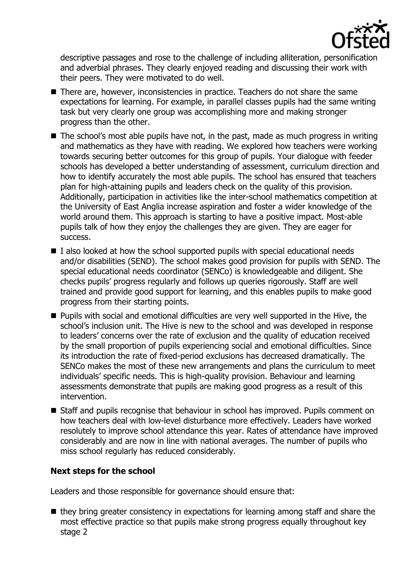

descriptive passages and rose to the challenge of including alliteration, personification and adverbial phrases. They clearly enjoyed reading and discussing their work with their peers. They were motivated to do well.

- There are, however, inconsistencies in practice. Teachers do not share the same expectations for learning. For example, in parallel classes pupils had the same writing task but very clearly one group was accomplishing more and making stronger progress than the other.
- The school's most able pupils have not, in the past, made as much progress in writing and mathematics as they have with reading. We explored how teachers were working towards securing better outcomes for this group of pupils. Your dialogue with feeder schools has developed a better understanding of assessment, curriculum direction and how to identify accurately the most able pupils. The school has ensured that teachers plan for high-attaining pupils and leaders check on the quality of this provision. Additionally, participation in activities like the inter-school mathematics competition at the University of East Anglia increase aspiration and foster a wider knowledge of the world around them. This approach is starting to have a positive impact. Most-able pupils talk of how they enjoy the challenges they are given. They are eager for success.
- $\blacksquare$  I also looked at how the school supported pupils with special educational needs and/or disabilities (SEND). The school makes good provision for pupils with SEND. The special educational needs coordinator (SENCo) is knowledgeable and diligent. She checks pupils' progress regularly and follows up queries rigorously. Staff are well trained and provide good support for learning, and this enables pupils to make good progress from their starting points.
- Pupils with social and emotional difficulties are very well supported in the Hive, the school's inclusion unit. The Hive is new to the school and was developed in response to leaders' concerns over the rate of exclusion and the quality of education received by the small proportion of pupils experiencing social and emotional difficulties. Since its introduction the rate of fixed-period exclusions has decreased dramatically. The SENCo makes the most of these new arrangements and plans the curriculum to meet individuals' specific needs. This is high-quality provision. Behaviour and learning assessments demonstrate that pupils are making good progress as a result of this intervention.
- Staff and pupils recognise that behaviour in school has improved. Pupils comment on how teachers deal with low-level disturbance more effectively. Leaders have worked resolutely to improve school attendance this year. Rates of attendance have improved considerably and are now in line with national averages. The number of pupils who miss school regularly has reduced considerably.

# **Next steps for the school**

Leaders and those responsible for governance should ensure that:

■ they bring greater consistency in expectations for learning among staff and share the most effective practice so that pupils make strong progress equally throughout key stage 2